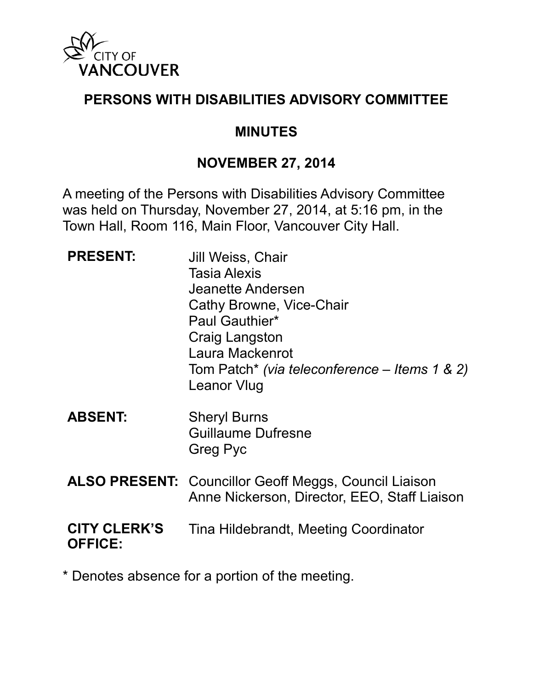

#### **PERSONS WITH DISABILITIES ADVISORY COMMITTEE**

#### **MINUTES**

#### **NOVEMBER 27, 2014**

A meeting of the Persons with Disabilities Advisory Committee was held on Thursday, November 27, 2014, at 5:16 pm, in the Town Hall, Room 116, Main Floor, Vancouver City Hall.

| <b>PRESENT:</b>                       | Jill Weiss, Chair<br><b>Tasia Alexis</b><br>Jeanette Andersen<br>Cathy Browne, Vice-Chair<br>Paul Gauthier*<br><b>Craig Langston</b><br>Laura Mackenrot<br>Tom Patch* (via teleconference – Items 1 & 2)<br><b>Leanor Vlug</b> |
|---------------------------------------|--------------------------------------------------------------------------------------------------------------------------------------------------------------------------------------------------------------------------------|
| <b>ABSENT:</b>                        | <b>Sheryl Burns</b><br><b>Guillaume Dufresne</b><br>Greg Pyc                                                                                                                                                                   |
|                                       | <b>ALSO PRESENT:</b> Councillor Geoff Meggs, Council Liaison<br>Anne Nickerson, Director, EEO, Staff Liaison                                                                                                                   |
| <b>CITY CLERK'S</b><br><b>OFFICE:</b> | Tina Hildebrandt, Meeting Coordinator                                                                                                                                                                                          |

\* Denotes absence for a portion of the meeting.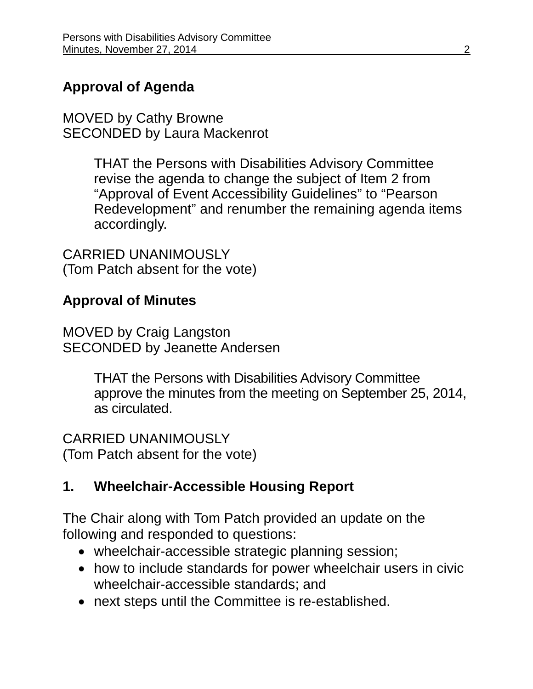# **Approval of Agenda**

MOVED by Cathy Browne SECONDED by Laura Mackenrot

> THAT the Persons with Disabilities Advisory Committee revise the agenda to change the subject of Item 2 from "Approval of Event Accessibility Guidelines" to "Pearson Redevelopment" and renumber the remaining agenda items accordingly.

CARRIED UNANIMOUSLY (Tom Patch absent for the vote)

## **Approval of Minutes**

MOVED by Craig Langston SECONDED by Jeanette Andersen

> THAT the Persons with Disabilities Advisory Committee approve the minutes from the meeting on September 25, 2014, as circulated.

CARRIED UNANIMOUSLY (Tom Patch absent for the vote)

# **1. Wheelchair-Accessible Housing Report**

The Chair along with Tom Patch provided an update on the following and responded to questions:

- wheelchair-accessible strategic planning session;
- how to include standards for power wheelchair users in civic wheelchair-accessible standards; and
- next steps until the Committee is re-established.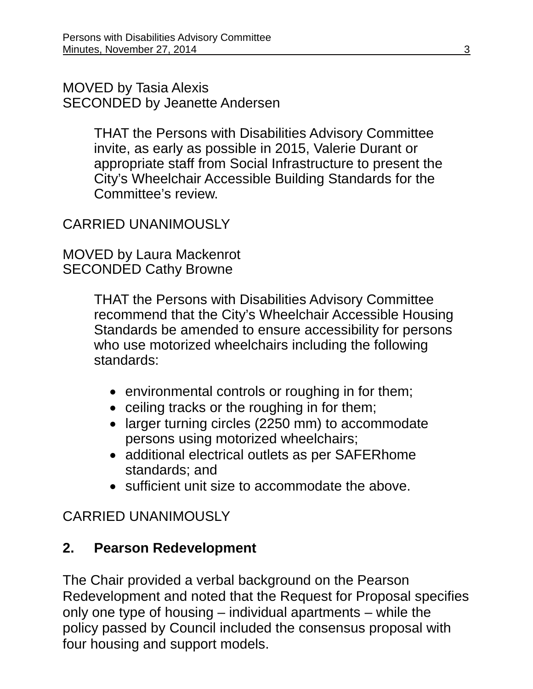MOVED by Tasia Alexis SECONDED by Jeanette Andersen

> THAT the Persons with Disabilities Advisory Committee invite, as early as possible in 2015, Valerie Durant or appropriate staff from Social Infrastructure to present the City's Wheelchair Accessible Building Standards for the Committee's review.

# CARRIED UNANIMOUSLY

MOVED by Laura Mackenrot SECONDED Cathy Browne

> THAT the Persons with Disabilities Advisory Committee recommend that the City's Wheelchair Accessible Housing Standards be amended to ensure accessibility for persons who use motorized wheelchairs including the following standards:

- environmental controls or roughing in for them;
- ceiling tracks or the roughing in for them;
- larger turning circles (2250 mm) to accommodate persons using motorized wheelchairs;
- additional electrical outlets as per SAFERhome standards; and
- sufficient unit size to accommodate the above.

# CARRIED UNANIMOUSLY

# **2. Pearson Redevelopment**

The Chair provided a verbal background on the Pearson Redevelopment and noted that the Request for Proposal specifies only one type of housing – individual apartments – while the policy passed by Council included the consensus proposal with four housing and support models.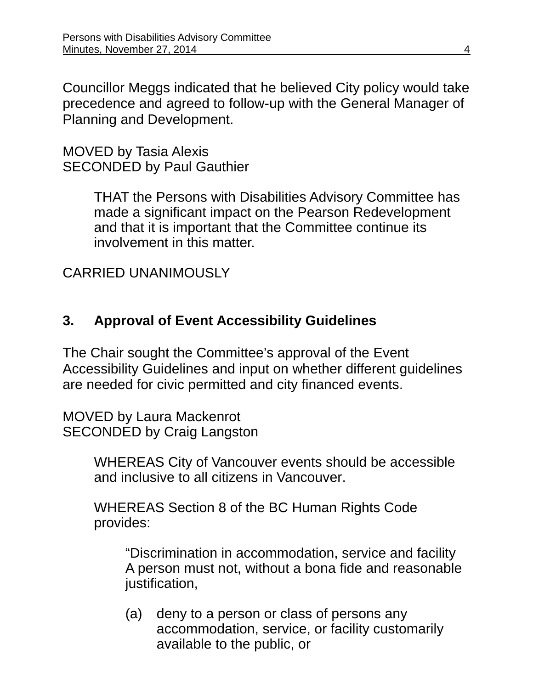Councillor Meggs indicated that he believed City policy would take precedence and agreed to follow-up with the General Manager of Planning and Development.

MOVED by Tasia Alexis SECONDED by Paul Gauthier

> THAT the Persons with Disabilities Advisory Committee has made a significant impact on the Pearson Redevelopment and that it is important that the Committee continue its involvement in this matter.

CARRIED UNANIMOUSLY

## **3. Approval of Event Accessibility Guidelines**

The Chair sought the Committee's approval of the Event Accessibility Guidelines and input on whether different guidelines are needed for civic permitted and city financed events.

MOVED by Laura Mackenrot SECONDED by Craig Langston

> WHEREAS City of Vancouver events should be accessible and inclusive to all citizens in Vancouver.

WHEREAS Section 8 of the BC Human Rights Code provides:

"Discrimination in accommodation, service and facility A person must not, without a bona fide and reasonable justification,

(a) deny to a person or class of persons any accommodation, service, or facility customarily available to the public, or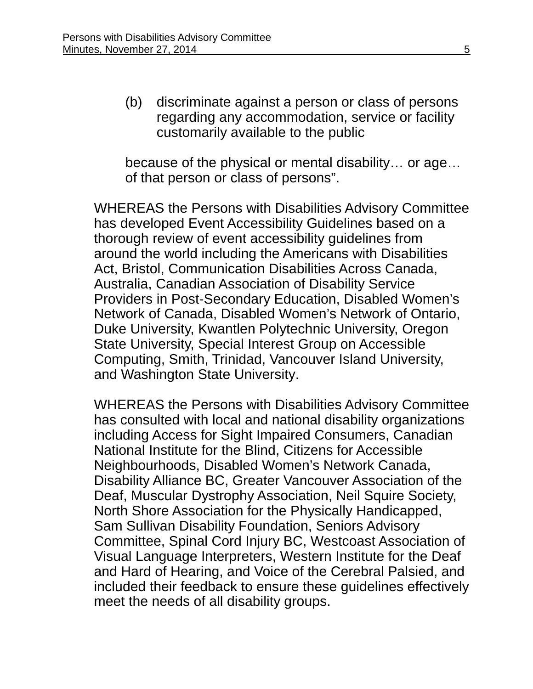(b) discriminate against a person or class of persons regarding any accommodation, service or facility customarily available to the public

because of the physical or mental disability… or age… of that person or class of persons".

WHEREAS the Persons with Disabilities Advisory Committee has developed Event Accessibility Guidelines based on a thorough review of event accessibility guidelines from around the world including the Americans with Disabilities Act, Bristol, Communication Disabilities Across Canada, Australia, Canadian Association of Disability Service Providers in Post-Secondary Education, Disabled Women's Network of Canada, Disabled Women's Network of Ontario, Duke University, Kwantlen Polytechnic University, Oregon State University, Special Interest Group on Accessible Computing, Smith, Trinidad, Vancouver Island University, and Washington State University.

WHEREAS the Persons with Disabilities Advisory Committee has consulted with local and national disability organizations including Access for Sight Impaired Consumers, Canadian National Institute for the Blind, Citizens for Accessible Neighbourhoods, Disabled Women's Network Canada, Disability Alliance BC, Greater Vancouver Association of the Deaf, Muscular Dystrophy Association, Neil Squire Society, North Shore Association for the Physically Handicapped, Sam Sullivan Disability Foundation, Seniors Advisory Committee, Spinal Cord Injury BC, Westcoast Association of Visual Language Interpreters, Western Institute for the Deaf and Hard of Hearing, and Voice of the Cerebral Palsied, and included their feedback to ensure these guidelines effectively meet the needs of all disability groups.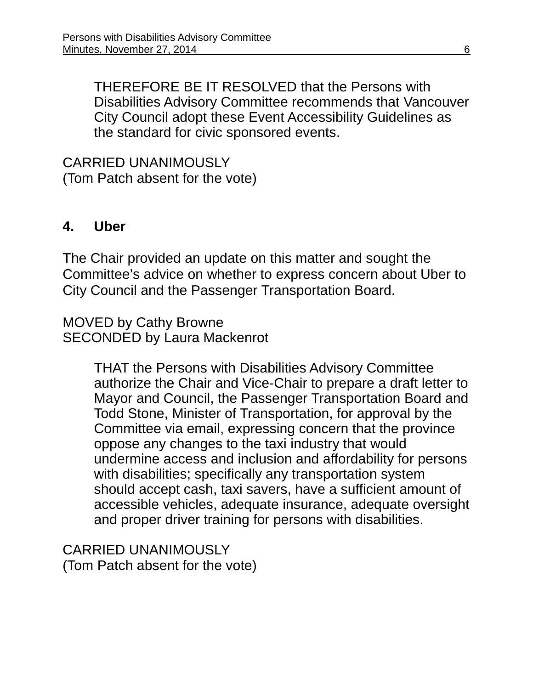THEREFORE BE IT RESOLVED that the Persons with Disabilities Advisory Committee recommends that Vancouver City Council adopt these Event Accessibility Guidelines as the standard for civic sponsored events.

CARRIED UNANIMOUSLY (Tom Patch absent for the vote)

#### **4. Uber**

The Chair provided an update on this matter and sought the Committee's advice on whether to express concern about Uber to City Council and the Passenger Transportation Board.

MOVED by Cathy Browne SECONDED by Laura Mackenrot

> THAT the Persons with Disabilities Advisory Committee authorize the Chair and Vice-Chair to prepare a draft letter to Mayor and Council, the Passenger Transportation Board and Todd Stone, Minister of Transportation, for approval by the Committee via email, expressing concern that the province oppose any changes to the taxi industry that would undermine access and inclusion and affordability for persons with disabilities; specifically any transportation system should accept cash, taxi savers, have a sufficient amount of accessible vehicles, adequate insurance, adequate oversight and proper driver training for persons with disabilities.

CARRIED UNANIMOUSLY (Tom Patch absent for the vote)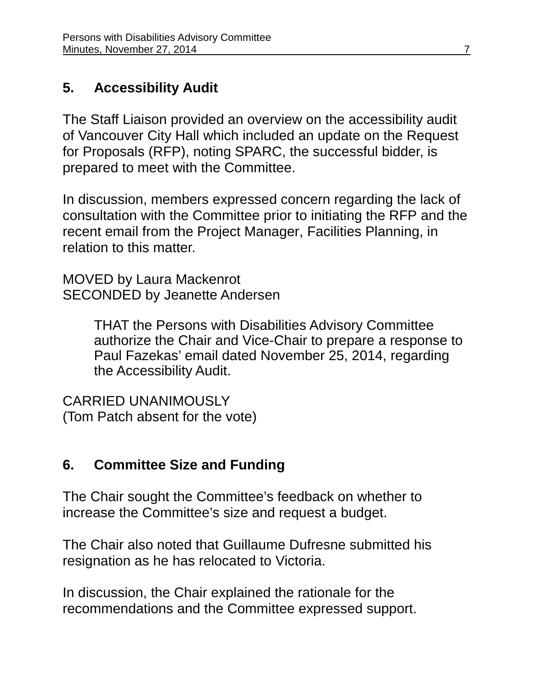## **5. Accessibility Audit**

The Staff Liaison provided an overview on the accessibility audit of Vancouver City Hall which included an update on the Request for Proposals (RFP), noting SPARC, the successful bidder, is prepared to meet with the Committee.

In discussion, members expressed concern regarding the lack of consultation with the Committee prior to initiating the RFP and the recent email from the Project Manager, Facilities Planning, in relation to this matter.

MOVED by Laura Mackenrot SECONDED by Jeanette Andersen

> THAT the Persons with Disabilities Advisory Committee authorize the Chair and Vice-Chair to prepare a response to Paul Fazekas' email dated November 25, 2014, regarding the Accessibility Audit.

CARRIED UNANIMOUSLY (Tom Patch absent for the vote)

# **6. Committee Size and Funding**

The Chair sought the Committee's feedback on whether to increase the Committee's size and request a budget.

The Chair also noted that Guillaume Dufresne submitted his resignation as he has relocated to Victoria.

In discussion, the Chair explained the rationale for the recommendations and the Committee expressed support.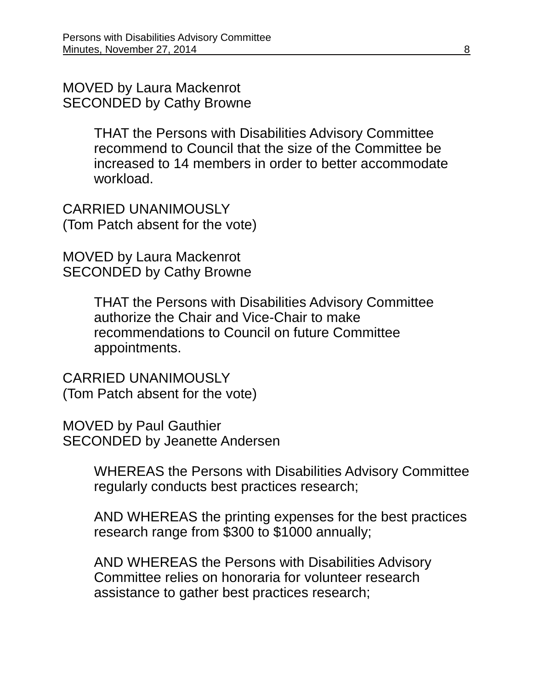MOVED by Laura Mackenrot SECONDED by Cathy Browne

> THAT the Persons with Disabilities Advisory Committee recommend to Council that the size of the Committee be increased to 14 members in order to better accommodate workload.

CARRIED UNANIMOUSLY (Tom Patch absent for the vote)

MOVED by Laura Mackenrot SECONDED by Cathy Browne

> THAT the Persons with Disabilities Advisory Committee authorize the Chair and Vice-Chair to make recommendations to Council on future Committee appointments.

CARRIED UNANIMOUSLY (Tom Patch absent for the vote)

MOVED by Paul Gauthier SECONDED by Jeanette Andersen

> WHEREAS the Persons with Disabilities Advisory Committee regularly conducts best practices research;

> AND WHEREAS the printing expenses for the best practices research range from \$300 to \$1000 annually;

AND WHEREAS the Persons with Disabilities Advisory Committee relies on honoraria for volunteer research assistance to gather best practices research;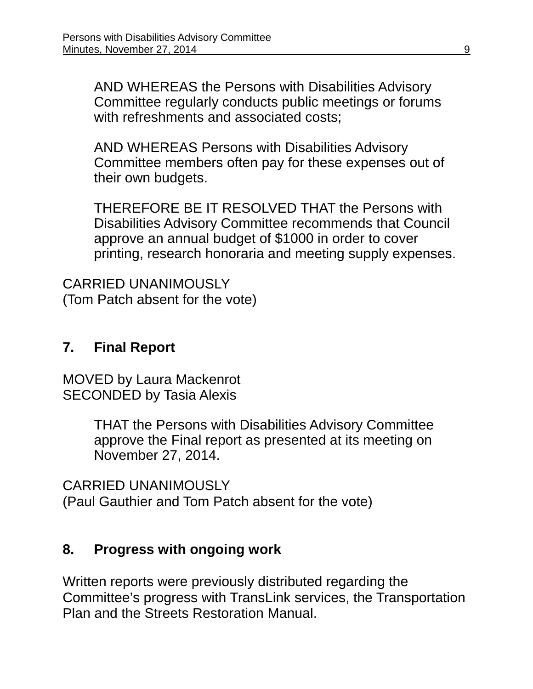AND WHEREAS the Persons with Disabilities Advisory Committee regularly conducts public meetings or forums with refreshments and associated costs;

AND WHEREAS Persons with Disabilities Advisory Committee members often pay for these expenses out of their own budgets.

THEREFORE BE IT RESOLVED THAT the Persons with Disabilities Advisory Committee recommends that Council approve an annual budget of \$1000 in order to cover printing, research honoraria and meeting supply expenses.

CARRIED UNANIMOUSLY (Tom Patch absent for the vote)

## **7. Final Report**

MOVED by Laura Mackenrot SECONDED by Tasia Alexis

> THAT the Persons with Disabilities Advisory Committee approve the Final report as presented at its meeting on November 27, 2014.

CARRIED UNANIMOUSLY (Paul Gauthier and Tom Patch absent for the vote)

## **8. Progress with ongoing work**

Written reports were previously distributed regarding the Committee's progress with TransLink services, the Transportation Plan and the Streets Restoration Manual.